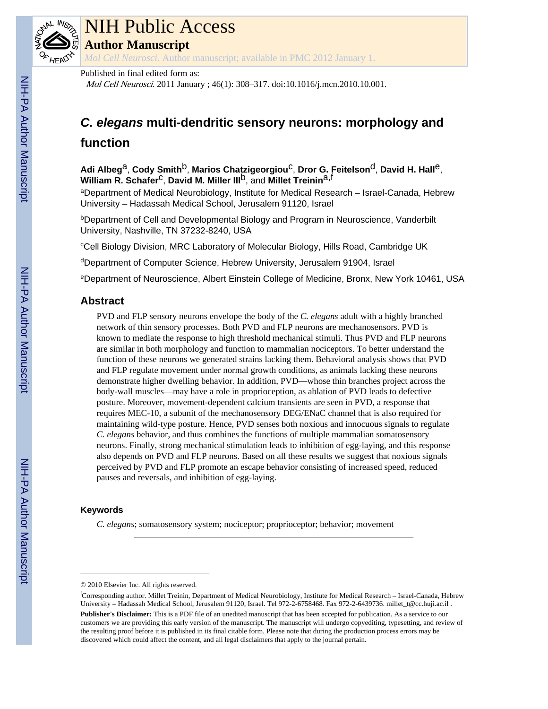

# NIH Public Access

**Author Manuscript**

*Mol Cell Neurosci*. Author manuscript; available in PMC 2012 January 1.

## Published in final edited form as:

Mol Cell Neurosci. 2011 January ; 46(1): 308–317. doi:10.1016/j.mcn.2010.10.001.

## *C. elegans* **multi-dendritic sensory neurons: morphology and**

## **function**

**Adi Albeg**a, **Cody Smith**b, **Marios Chatzigeorgiou**c, **Dror G. Feitelson**d, **David H. Hall**e, William R. Schafer<sup>C</sup>, David M. Miller III<sup>b</sup>, and Millet Treinin<sup>a,f</sup>

<sup>a</sup>Department of Medical Neurobiology, Institute for Medical Research – Israel-Canada, Hebrew University – Hadassah Medical School, Jerusalem 91120, Israel

<sup>b</sup>Department of Cell and Developmental Biology and Program in Neuroscience, Vanderbilt University, Nashville, TN 37232-8240, USA

<sup>c</sup>Cell Biology Division, MRC Laboratory of Molecular Biology, Hills Road, Cambridge UK

<sup>d</sup>Department of Computer Science, Hebrew University, Jerusalem 91904, Israel

<sup>e</sup>Department of Neuroscience, Albert Einstein College of Medicine, Bronx, New York 10461, USA

## **Abstract**

PVD and FLP sensory neurons envelope the body of the *C. elegans* adult with a highly branched network of thin sensory processes. Both PVD and FLP neurons are mechanosensors. PVD is known to mediate the response to high threshold mechanical stimuli. Thus PVD and FLP neurons are similar in both morphology and function to mammalian nociceptors. To better understand the function of these neurons we generated strains lacking them. Behavioral analysis shows that PVD and FLP regulate movement under normal growth conditions, as animals lacking these neurons demonstrate higher dwelling behavior. In addition, PVD—whose thin branches project across the body-wall muscles—may have a role in proprioception, as ablation of PVD leads to defective posture. Moreover, movement-dependent calcium transients are seen in PVD, a response that requires MEC-10, a subunit of the mechanosensory DEG/ENaC channel that is also required for maintaining wild-type posture. Hence, PVD senses both noxious and innocuous signals to regulate *C. elegans* behavior, and thus combines the functions of multiple mammalian somatosensory neurons. Finally, strong mechanical stimulation leads to inhibition of egg-laying, and this response also depends on PVD and FLP neurons. Based on all these results we suggest that noxious signals perceived by PVD and FLP promote an escape behavior consisting of increased speed, reduced pauses and reversals, and inhibition of egg-laying.

## **Keywords**

*C. elegans*; somatosensory system; nociceptor; proprioceptor; behavior; movement

<sup>© 2010</sup> Elsevier Inc. All rights reserved.

<sup>f</sup>Corresponding author. Millet Treinin, Department of Medical Neurobiology, Institute for Medical Research – Israel-Canada, Hebrew University – Hadassah Medical School, Jerusalem 91120, Israel. Tel 972-2-6758468. Fax 972-2-6439736. millet\_t@cc.huji.ac.il . **Publisher's Disclaimer:** This is a PDF file of an unedited manuscript that has been accepted for publication. As a service to our customers we are providing this early version of the manuscript. The manuscript will undergo copyediting, typesetting, and review of the resulting proof before it is published in its final citable form. Please note that during the production process errors may be discovered which could affect the content, and all legal disclaimers that apply to the journal pertain.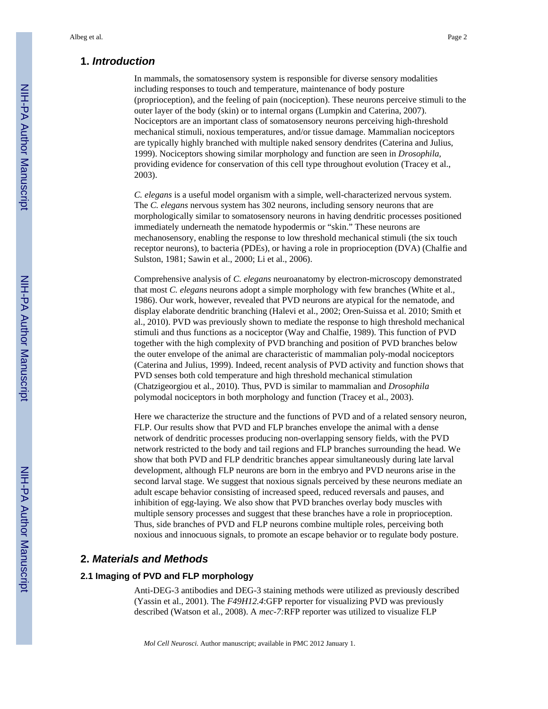## **1.** *Introduction*

In mammals, the somatosensory system is responsible for diverse sensory modalities including responses to touch and temperature, maintenance of body posture (proprioception), and the feeling of pain (nociception). These neurons perceive stimuli to the outer layer of the body (skin) or to internal organs (Lumpkin and Caterina, 2007). Nociceptors are an important class of somatosensory neurons perceiving high-threshold mechanical stimuli, noxious temperatures, and/or tissue damage. Mammalian nociceptors are typically highly branched with multiple naked sensory dendrites (Caterina and Julius, 1999). Nociceptors showing similar morphology and function are seen in *Drosophila,* providing evidence for conservation of this cell type throughout evolution (Tracey et al., 2003).

*C. elegans* is a useful model organism with a simple, well-characterized nervous system. The *C. elegans* nervous system has 302 neurons, including sensory neurons that are morphologically similar to somatosensory neurons in having dendritic processes positioned immediately underneath the nematode hypodermis or "skin." These neurons are mechanosensory, enabling the response to low threshold mechanical stimuli (the six touch receptor neurons), to bacteria (PDEs), or having a role in proprioception (DVA) (Chalfie and Sulston, 1981; Sawin et al., 2000; Li et al., 2006).

Comprehensive analysis of *C. elegans* neuroanatomy by electron-microscopy demonstrated that most *C. elegans* neurons adopt a simple morphology with few branches (White et al., 1986). Our work, however, revealed that PVD neurons are atypical for the nematode, and display elaborate dendritic branching (Halevi et al., 2002; Oren-Suissa et al. 2010; Smith et al., 2010). PVD was previously shown to mediate the response to high threshold mechanical stimuli and thus functions as a nociceptor (Way and Chalfie, 1989). This function of PVD together with the high complexity of PVD branching and position of PVD branches below the outer envelope of the animal are characteristic of mammalian poly-modal nociceptors (Caterina and Julius, 1999). Indeed, recent analysis of PVD activity and function shows that PVD senses both cold temperature and high threshold mechanical stimulation (Chatzigeorgiou et al., 2010). Thus, PVD is similar to mammalian and *Drosophila* polymodal nociceptors in both morphology and function (Tracey et al., 2003).

Here we characterize the structure and the functions of PVD and of a related sensory neuron, FLP. Our results show that PVD and FLP branches envelope the animal with a dense network of dendritic processes producing non-overlapping sensory fields, with the PVD network restricted to the body and tail regions and FLP branches surrounding the head. We show that both PVD and FLP dendritic branches appear simultaneously during late larval development, although FLP neurons are born in the embryo and PVD neurons arise in the second larval stage. We suggest that noxious signals perceived by these neurons mediate an adult escape behavior consisting of increased speed, reduced reversals and pauses, and inhibition of egg-laying. We also show that PVD branches overlay body muscles with multiple sensory processes and suggest that these branches have a role in proprioception. Thus, side branches of PVD and FLP neurons combine multiple roles, perceiving both noxious and innocuous signals, to promote an escape behavior or to regulate body posture.

## **2.** *Materials and Methods*

## **2.1 Imaging of PVD and FLP morphology**

Anti-DEG-3 antibodies and DEG-3 staining methods were utilized as previously described (Yassin et al., 2001). The *F49H12.4*:GFP reporter for visualizing PVD was previously described (Watson et al., 2008). A *mec-7:*RFP reporter was utilized to visualize FLP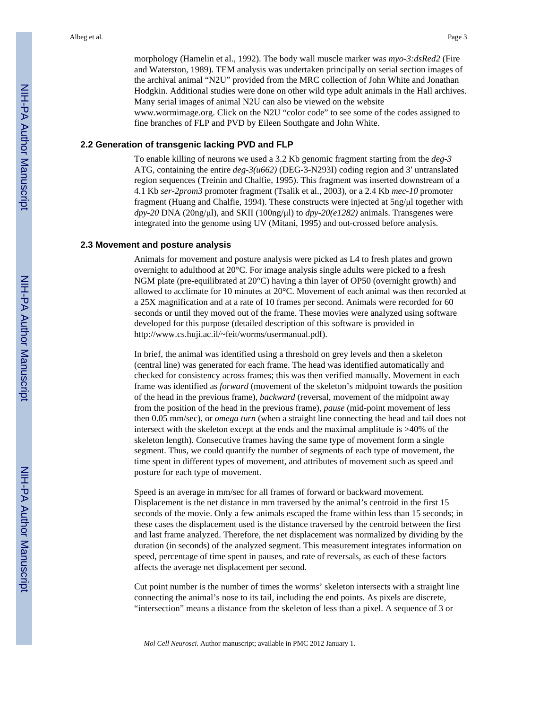morphology (Hamelin et al., 1992). The body wall muscle marker was *myo-3:dsRed2* (Fire and Waterston, 1989). TEM analysis was undertaken principally on serial section images of the archival animal "N2U" provided from the MRC collection of John White and Jonathan Hodgkin. Additional studies were done on other wild type adult animals in the Hall archives. Many serial images of animal N2U can also be viewed on the website [www.wormimage.org.](http://www.wormimage.org) Click on the N2U "color code" to see some of the codes assigned to fine branches of FLP and PVD by Eileen Southgate and John White.

#### **2.2 Generation of transgenic lacking PVD and FLP**

To enable killing of neurons we used a 3.2 Kb genomic fragment starting from the *deg-3* ATG, containing the entire *deg-3(u662)* (DEG-3-N293I) coding region and 3′ untranslated region sequences (Treinin and Chalfie, 1995). This fragment was inserted downstream of a 4.1 Kb *ser-2prom3* promoter fragment (Tsalik et al., 2003), or a 2.4 Kb *mec-10* promoter fragment (Huang and Chalfie, 1994). These constructs were injected at 5ng/μl together with *dpy-20* DNA (20ng/μl), and SKII (100ng/μl) to *dpy-20(e1282)* animals. Transgenes were integrated into the genome using UV (Mitani, 1995) and out-crossed before analysis.

#### **2.3 Movement and posture analysis**

Animals for movement and posture analysis were picked as L4 to fresh plates and grown overnight to adulthood at 20°C. For image analysis single adults were picked to a fresh NGM plate (pre-equilibrated at 20°C) having a thin layer of OP50 (overnight growth) and allowed to acclimate for 10 minutes at 20°C. Movement of each animal was then recorded at a 25X magnification and at a rate of 10 frames per second. Animals were recorded for 60 seconds or until they moved out of the frame. These movies were analyzed using software developed for this purpose (detailed description of this software is provided in <http://www.cs.huji.ac.il/~feit/worms/usermanual.pdf>).

In brief, the animal was identified using a threshold on grey levels and then a skeleton (central line) was generated for each frame. The head was identified automatically and checked for consistency across frames; this was then verified manually. Movement in each frame was identified as *forward* (movement of the skeleton's midpoint towards the position of the head in the previous frame), *backward* (reversal, movement of the midpoint away from the position of the head in the previous frame), *pause* (mid-point movement of less then 0.05 mm/sec), or *omega turn* (when a straight line connecting the head and tail does not intersect with the skeleton except at the ends and the maximal amplitude is >40% of the skeleton length). Consecutive frames having the same type of movement form a single segment. Thus, we could quantify the number of segments of each type of movement, the time spent in different types of movement, and attributes of movement such as speed and posture for each type of movement.

Speed is an average in mm/sec for all frames of forward or backward movement. Displacement is the net distance in mm traversed by the animal's centroid in the first 15 seconds of the movie. Only a few animals escaped the frame within less than 15 seconds; in these cases the displacement used is the distance traversed by the centroid between the first and last frame analyzed. Therefore, the net displacement was normalized by dividing by the duration (in seconds) of the analyzed segment. This measurement integrates information on speed, percentage of time spent in pauses, and rate of reversals, as each of these factors affects the average net displacement per second.

Cut point number is the number of times the worms' skeleton intersects with a straight line connecting the animal's nose to its tail, including the end points. As pixels are discrete, "intersection" means a distance from the skeleton of less than a pixel. A sequence of 3 or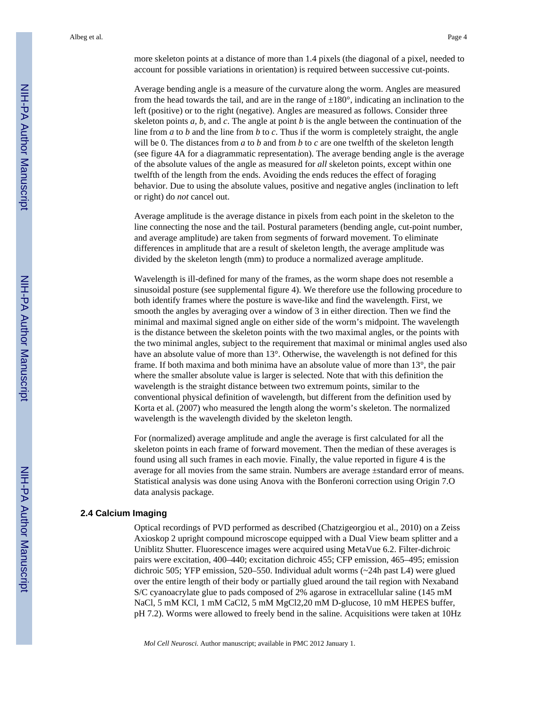more skeleton points at a distance of more than 1.4 pixels (the diagonal of a pixel, needed to account for possible variations in orientation) is required between successive cut-points.

Average bending angle is a measure of the curvature along the worm. Angles are measured from the head towards the tail, and are in the range of  $\pm 180^\circ$ , indicating an inclination to the left (positive) or to the right (negative). Angles are measured as follows. Consider three skeleton points *a, b*, and *c*. The angle at point *b* is the angle between the continuation of the line from *a* to *b* and the line from *b* to *c*. Thus if the worm is completely straight, the angle will be 0. The distances from *a* to *b* and from *b* to *c* are one twelfth of the skeleton length (see figure 4A for a diagrammatic representation). The average bending angle is the average of the absolute values of the angle as measured for *all* skeleton points, except within one twelfth of the length from the ends. Avoiding the ends reduces the effect of foraging behavior. Due to using the absolute values, positive and negative angles (inclination to left or right) do *not* cancel out.

Average amplitude is the average distance in pixels from each point in the skeleton to the line connecting the nose and the tail. Postural parameters (bending angle, cut-point number, and average amplitude) are taken from segments of forward movement. To eliminate differences in amplitude that are a result of skeleton length, the average amplitude was divided by the skeleton length (mm) to produce a normalized average amplitude.

Wavelength is ill-defined for many of the frames, as the worm shape does not resemble a sinusoidal posture (see supplemental figure 4). We therefore use the following procedure to both identify frames where the posture is wave-like and find the wavelength. First, we smooth the angles by averaging over a window of 3 in either direction. Then we find the minimal and maximal signed angle on either side of the worm's midpoint. The wavelength is the distance between the skeleton points with the two maximal angles, or the points with the two minimal angles, subject to the requirement that maximal or minimal angles used also have an absolute value of more than 13°. Otherwise, the wavelength is not defined for this frame. If both maxima and both minima have an absolute value of more than 13°, the pair where the smaller absolute value is larger is selected. Note that with this definition the wavelength is the straight distance between two extremum points, similar to the conventional physical definition of wavelength, but different from the definition used by Korta et al. (2007) who measured the length along the worm's skeleton. The normalized wavelength is the wavelength divided by the skeleton length.

For (normalized) average amplitude and angle the average is first calculated for all the skeleton points in each frame of forward movement. Then the median of these averages is found using all such frames in each movie. Finally, the value reported in figure 4 is the average for all movies from the same strain. Numbers are average ±standard error of means. Statistical analysis was done using Anova with the Bonferoni correction using Origin 7.O data analysis package.

#### **2.4 Calcium Imaging**

Optical recordings of PVD performed as described (Chatzigeorgiou et al., 2010) on a Zeiss Axioskop 2 upright compound microscope equipped with a Dual View beam splitter and a Uniblitz Shutter. Fluorescence images were acquired using MetaVue 6.2. Filter-dichroic pairs were excitation, 400–440; excitation dichroic 455; CFP emission, 465–495; emission dichroic 505; YFP emission, 520–550. Individual adult worms (~24h past L4) were glued over the entire length of their body or partially glued around the tail region with Nexaband S/C cyanoacrylate glue to pads composed of 2% agarose in extracellular saline (145 mM NaCl, 5 mM KCl, 1 mM CaCl2, 5 mM MgCl2,20 mM D-glucose, 10 mM HEPES buffer, pH 7.2). Worms were allowed to freely bend in the saline. Acquisitions were taken at 10Hz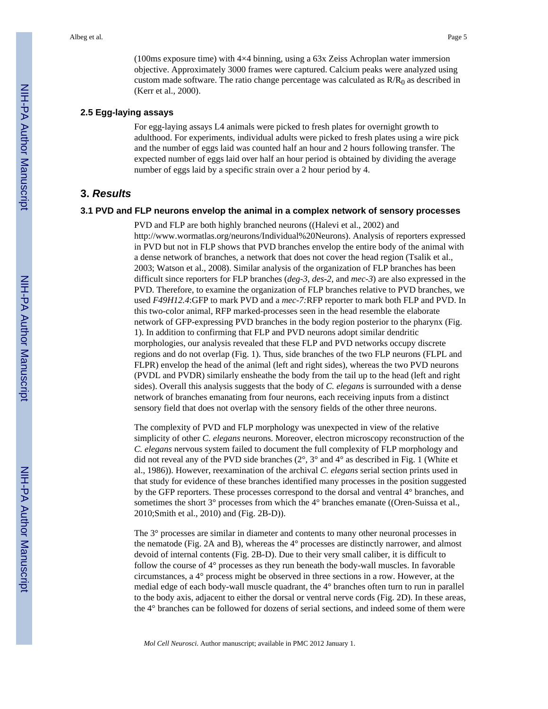(100ms exposure time) with 4×4 binning, using a 63x Zeiss Achroplan water immersion objective. Approximately 3000 frames were captured. Calcium peaks were analyzed using custom made software. The ratio change percentage was calculated as  $R/R_0$  as described in (Kerr et al., 2000).

#### **2.5 Egg-laying assays**

For egg-laying assays L4 animals were picked to fresh plates for overnight growth to adulthood. For experiments, individual adults were picked to fresh plates using a wire pick and the number of eggs laid was counted half an hour and 2 hours following transfer. The expected number of eggs laid over half an hour period is obtained by dividing the average number of eggs laid by a specific strain over a 2 hour period by 4.

## **3.** *Results*

#### **3.1 PVD and FLP neurons envelop the animal in a complex network of sensory processes**

PVD and FLP are both highly branched neurons ((Halevi et al., 2002) and <http://www.wormatlas.org/neurons/Individual%20Neurons>). Analysis of reporters expressed in PVD but not in FLP shows that PVD branches envelop the entire body of the animal with a dense network of branches, a network that does not cover the head region (Tsalik et al., 2003; Watson et al., 2008). Similar analysis of the organization of FLP branches has been difficult since reporters for FLP branches (*deg-3, des-2,* and *mec-3*) are also expressed in the PVD. Therefore, to examine the organization of FLP branches relative to PVD branches, we used *F49H12.4*:GFP to mark PVD and a *mec-7:*RFP reporter to mark both FLP and PVD. In this two-color animal, RFP marked-processes seen in the head resemble the elaborate network of GFP-expressing PVD branches in the body region posterior to the pharynx (Fig. 1). In addition to confirming that FLP and PVD neurons adopt similar dendritic morphologies, our analysis revealed that these FLP and PVD networks occupy discrete regions and do not overlap (Fig. 1). Thus, side branches of the two FLP neurons (FLPL and FLPR) envelop the head of the animal (left and right sides), whereas the two PVD neurons (PVDL and PVDR) similarly ensheathe the body from the tail up to the head (left and right sides). Overall this analysis suggests that the body of *C. elegans* is surrounded with a dense network of branches emanating from four neurons, each receiving inputs from a distinct sensory field that does not overlap with the sensory fields of the other three neurons.

The complexity of PVD and FLP morphology was unexpected in view of the relative simplicity of other *C. elegans* neurons. Moreover, electron microscopy reconstruction of the *C. elegans* nervous system failed to document the full complexity of FLP morphology and did not reveal any of the PVD side branches  $(2^{\circ}, 3^{\circ})$  and  $4^{\circ}$  as described in Fig. 1 (White et al., 1986)). However, reexamination of the archival *C. elegans* serial section prints used in that study for evidence of these branches identified many processes in the position suggested by the GFP reporters. These processes correspond to the dorsal and ventral 4° branches, and sometimes the short 3° processes from which the 4° branches emanate ((Oren-Suissa et al., 2010;Smith et al., 2010) and (Fig. 2B-D)).

The 3° processes are similar in diameter and contents to many other neuronal processes in the nematode (Fig. 2A and B), whereas the 4° processes are distinctly narrower, and almost devoid of internal contents (Fig. 2B-D). Due to their very small caliber, it is difficult to follow the course of 4° processes as they run beneath the body-wall muscles. In favorable circumstances, a 4° process might be observed in three sections in a row. However, at the medial edge of each body-wall muscle quadrant, the 4° branches often turn to run in parallel to the body axis, adjacent to either the dorsal or ventral nerve cords (Fig. 2D). In these areas, the 4° branches can be followed for dozens of serial sections, and indeed some of them were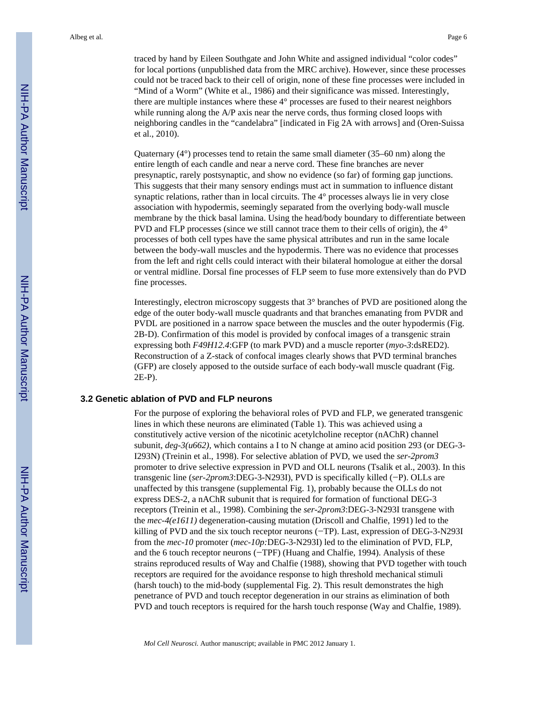traced by hand by Eileen Southgate and John White and assigned individual "color codes" for local portions (unpublished data from the MRC archive). However, since these processes could not be traced back to their cell of origin, none of these fine processes were included in "Mind of a Worm" (White et al., 1986) and their significance was missed. Interestingly, there are multiple instances where these 4° processes are fused to their nearest neighbors while running along the A/P axis near the nerve cords, thus forming closed loops with neighboring candles in the "candelabra" [indicated in Fig 2A with arrows] and (Oren-Suissa et al., 2010).

Quaternary (4°) processes tend to retain the same small diameter (35–60 nm) along the entire length of each candle and near a nerve cord. These fine branches are never presynaptic, rarely postsynaptic, and show no evidence (so far) of forming gap junctions. This suggests that their many sensory endings must act in summation to influence distant synaptic relations, rather than in local circuits. The 4° processes always lie in very close association with hypodermis, seemingly separated from the overlying body-wall muscle membrane by the thick basal lamina. Using the head/body boundary to differentiate between PVD and FLP processes (since we still cannot trace them to their cells of origin), the 4° processes of both cell types have the same physical attributes and run in the same locale between the body-wall muscles and the hypodermis. There was no evidence that processes from the left and right cells could interact with their bilateral homologue at either the dorsal or ventral midline. Dorsal fine processes of FLP seem to fuse more extensively than do PVD fine processes.

Interestingly, electron microscopy suggests that 3° branches of PVD are positioned along the edge of the outer body-wall muscle quadrants and that branches emanating from PVDR and PVDL are positioned in a narrow space between the muscles and the outer hypodermis (Fig. 2B-D). Confirmation of this model is provided by confocal images of a transgenic strain expressing both *F49H12.4*:GFP (to mark PVD) and a muscle reporter (*myo-3*:dsRED2). Reconstruction of a Z-stack of confocal images clearly shows that PVD terminal branches (GFP) are closely apposed to the outside surface of each body-wall muscle quadrant (Fig. 2E-P).

#### **3.2 Genetic ablation of PVD and FLP neurons**

For the purpose of exploring the behavioral roles of PVD and FLP, we generated transgenic lines in which these neurons are eliminated (Table 1). This was achieved using a constitutively active version of the nicotinic acetylcholine receptor (nAChR) channel subunit, *deg-3(u662),* which contains a I to N change at amino acid position 293 (or DEG-3- I293N) (Treinin et al., 1998). For selective ablation of PVD, we used the *ser-2prom3* promoter to drive selective expression in PVD and OLL neurons (Tsalik et al., 2003). In this transgenic line (*ser-2prom3*:DEG-3-N293I), PVD is specifically killed (−P). OLLs are unaffected by this transgene (supplemental Fig. 1), probably because the OLLs do not express DES-2, a nAChR subunit that is required for formation of functional DEG-3 receptors (Treinin et al., 1998). Combining the *ser-2prom3*:DEG-3-N293I transgene with the *mec-4(e1611)* degeneration-causing mutation (Driscoll and Chalfie, 1991) led to the killing of PVD and the six touch receptor neurons (−TP). Last, expression of DEG-3-N293I from the *mec-10* promoter (*mec-10p:*DEG-3-N293I) led to the elimination of PVD, FLP, and the 6 touch receptor neurons (−TPF) (Huang and Chalfie, 1994). Analysis of these strains reproduced results of Way and Chalfie (1988), showing that PVD together with touch receptors are required for the avoidance response to high threshold mechanical stimuli (harsh touch) to the mid-body (supplemental Fig. 2). This result demonstrates the high penetrance of PVD and touch receptor degeneration in our strains as elimination of both PVD and touch receptors is required for the harsh touch response (Way and Chalfie, 1989).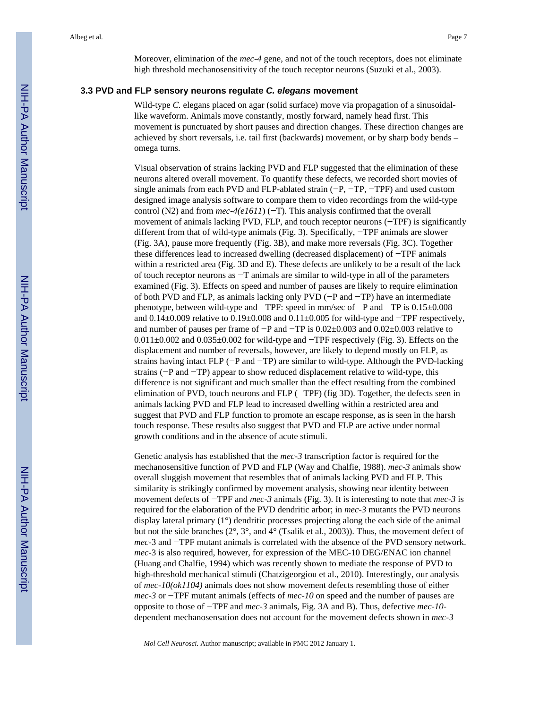Moreover, elimination of the *mec-4* gene, and not of the touch receptors, does not eliminate high threshold mechanosensitivity of the touch receptor neurons (Suzuki et al., 2003).

## **3.3 PVD and FLP sensory neurons regulate** *C. elegans* **movement**

Wild-type *C*. elegans placed on agar (solid surface) move via propagation of a sinusoidallike waveform. Animals move constantly, mostly forward, namely head first. This movement is punctuated by short pauses and direction changes. These direction changes are achieved by short reversals, i.e. tail first (backwards) movement, or by sharp body bends – omega turns.

Visual observation of strains lacking PVD and FLP suggested that the elimination of these neurons altered overall movement. To quantify these defects, we recorded short movies of single animals from each PVD and FLP-ablated strain (−P, −TP, −TPF) and used custom designed image analysis software to compare them to video recordings from the wild-type control (N2) and from *mec-4(e1611*) (−T). This analysis confirmed that the overall movement of animals lacking PVD, FLP, and touch receptor neurons ( $-$ TPF) is significantly different from that of wild-type animals (Fig. 3). Specifically, −TPF animals are slower (Fig. 3A), pause more frequently (Fig. 3B), and make more reversals (Fig. 3C). Together these differences lead to increased dwelling (decreased displacement) of −TPF animals within a restricted area (Fig. 3D and E). These defects are unlikely to be a result of the lack of touch receptor neurons as −T animals are similar to wild-type in all of the parameters examined (Fig. 3). Effects on speed and number of pauses are likely to require elimination of both PVD and FLP, as animals lacking only PVD (−P and −TP) have an intermediate phenotype, between wild-type and −TPF: speed in mm/sec of −P and −TP is 0.15±0.008 and 0.14±0.009 relative to 0.19±0.008 and 0.11±0.005 for wild-type and −TPF respectively, and number of pauses per frame of −P and −TP is 0.02±0.003 and 0.02±0.003 relative to 0.011±0.002 and 0.035±0.002 for wild-type and −TPF respectively (Fig. 3). Effects on the displacement and number of reversals, however, are likely to depend mostly on FLP, as strains having intact FLP (−P and −TP) are similar to wild-type. Although the PVD-lacking strains (−P and −TP) appear to show reduced displacement relative to wild-type, this difference is not significant and much smaller than the effect resulting from the combined elimination of PVD, touch neurons and FLP (−TPF) (fig 3D). Together, the defects seen in animals lacking PVD and FLP lead to increased dwelling within a restricted area and suggest that PVD and FLP function to promote an escape response, as is seen in the harsh touch response. These results also suggest that PVD and FLP are active under normal growth conditions and in the absence of acute stimuli.

Genetic analysis has established that the *mec-3* transcription factor is required for the mechanosensitive function of PVD and FLP (Way and Chalfie, 1988). *mec-3* animals show overall sluggish movement that resembles that of animals lacking PVD and FLP. This similarity is strikingly confirmed by movement analysis, showing near identity between movement defects of −TPF and *mec-3* animals (Fig. 3). It is interesting to note that *mec-3* is required for the elaboration of the PVD dendritic arbor; in *mec-3* mutants the PVD neurons display lateral primary (1°) dendritic processes projecting along the each side of the animal but not the side branches (2°, 3°, and 4° (Tsalik et al., 2003)). Thus, the movement defect of *mec*-3 and −TPF mutant animals is correlated with the absence of the PVD sensory network. *mec*-3 is also required, however, for expression of the MEC-10 DEG/ENAC ion channel (Huang and Chalfie, 1994) which was recently shown to mediate the response of PVD to high-threshold mechanical stimuli (Chatzigeorgiou et al., 2010). Interestingly, our analysis of *mec-10(ok1104)* animals does not show movement defects resembling those of either *mec-3* or −TPF mutant animals (effects of *mec-10* on speed and the number of pauses are opposite to those of −TPF and *mec-3* animals, Fig. 3A and B). Thus, defective *mec-10* dependent mechanosensation does not account for the movement defects shown in *mec-3*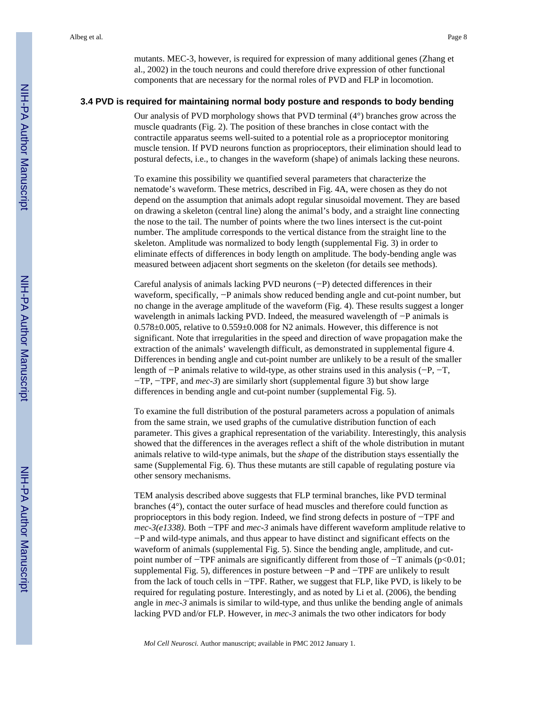mutants. MEC-3, however, is required for expression of many additional genes (Zhang et al., 2002) in the touch neurons and could therefore drive expression of other functional components that are necessary for the normal roles of PVD and FLP in locomotion.

#### **3.4 PVD is required for maintaining normal body posture and responds to body bending**

Our analysis of PVD morphology shows that PVD terminal (4°) branches grow across the muscle quadrants (Fig. 2). The position of these branches in close contact with the contractile apparatus seems well-suited to a potential role as a proprioceptor monitoring muscle tension. If PVD neurons function as proprioceptors, their elimination should lead to postural defects, i.e., to changes in the waveform (shape) of animals lacking these neurons.

To examine this possibility we quantified several parameters that characterize the nematode's waveform. These metrics, described in Fig. 4A, were chosen as they do not depend on the assumption that animals adopt regular sinusoidal movement. They are based on drawing a skeleton (central line) along the animal's body, and a straight line connecting the nose to the tail. The number of points where the two lines intersect is the cut-point number. The amplitude corresponds to the vertical distance from the straight line to the skeleton. Amplitude was normalized to body length (supplemental Fig. 3) in order to eliminate effects of differences in body length on amplitude. The body-bending angle was measured between adjacent short segments on the skeleton (for details see methods).

Careful analysis of animals lacking PVD neurons (−P) detected differences in their waveform, specifically, −P animals show reduced bending angle and cut-point number, but no change in the average amplitude of the waveform (Fig. 4). These results suggest a longer wavelength in animals lacking PVD. Indeed, the measured wavelength of −P animals is 0.578±0.005, relative to 0.559±0.008 for N2 animals. However, this difference is not significant. Note that irregularities in the speed and direction of wave propagation make the extraction of the animals' wavelength difficult, as demonstrated in supplemental figure 4. Differences in bending angle and cut-point number are unlikely to be a result of the smaller length of −P animals relative to wild-type, as other strains used in this analysis (−P, −T, −TP, −TPF, and *mec-3*) are similarly short (supplemental figure 3) but show large differences in bending angle and cut-point number (supplemental Fig. 5).

To examine the full distribution of the postural parameters across a population of animals from the same strain, we used graphs of the cumulative distribution function of each parameter. This gives a graphical representation of the variability. Interestingly, this analysis showed that the differences in the averages reflect a shift of the whole distribution in mutant animals relative to wild-type animals, but the *shape* of the distribution stays essentially the same (Supplemental Fig. 6). Thus these mutants are still capable of regulating posture via other sensory mechanisms.

TEM analysis described above suggests that FLP terminal branches, like PVD terminal branches (4°), contact the outer surface of head muscles and therefore could function as proprioceptors in this body region. Indeed, we find strong defects in posture of −TPF and *mec-3(e1338).* Both −TPF and *mec-3* animals have different waveform amplitude relative to −P and wild-type animals, and thus appear to have distinct and significant effects on the waveform of animals (supplemental Fig. 5). Since the bending angle, amplitude, and cutpoint number of −TPF animals are significantly different from those of −T animals (p<0.01; supplemental Fig. 5), differences in posture between −P and −TPF are unlikely to result from the lack of touch cells in −TPF. Rather, we suggest that FLP, like PVD, is likely to be required for regulating posture. Interestingly, and as noted by Li et al. (2006), the bending angle in *mec-3* animals is similar to wild-type, and thus unlike the bending angle of animals lacking PVD and/or FLP. However, in *mec-3* animals the two other indicators for body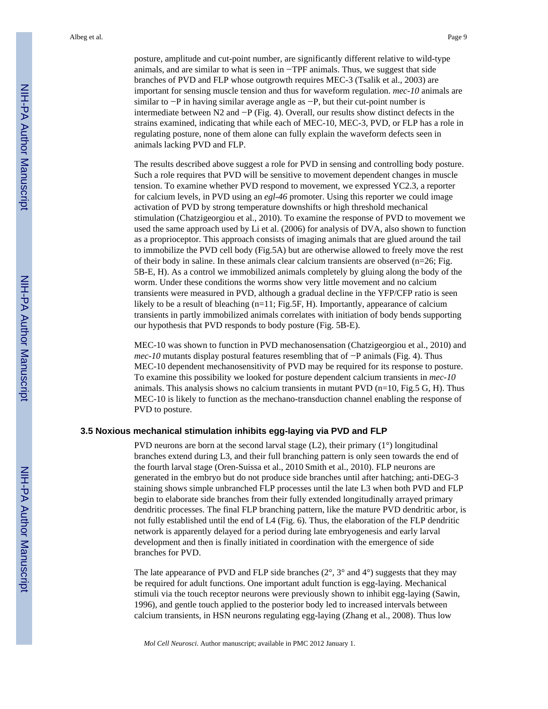posture, amplitude and cut-point number, are significantly different relative to wild-type animals, and are similar to what is seen in −TPF animals. Thus, we suggest that side branches of PVD and FLP whose outgrowth requires MEC-3 (Tsalik et al., 2003) are important for sensing muscle tension and thus for waveform regulation. *mec-10* animals are similar to −P in having similar average angle as −P, but their cut-point number is intermediate between N2 and −P (Fig. 4). Overall, our results show distinct defects in the strains examined, indicating that while each of MEC-10, MEC-3, PVD, or FLP has a role in regulating posture, none of them alone can fully explain the waveform defects seen in animals lacking PVD and FLP.

The results described above suggest a role for PVD in sensing and controlling body posture. Such a role requires that PVD will be sensitive to movement dependent changes in muscle tension. To examine whether PVD respond to movement, we expressed YC2.3, a reporter for calcium levels, in PVD using an *egl-46* promoter. Using this reporter we could image activation of PVD by strong temperature downshifts or high threshold mechanical stimulation (Chatzigeorgiou et al., 2010). To examine the response of PVD to movement we used the same approach used by Li et al. (2006) for analysis of DVA, also shown to function as a proprioceptor. This approach consists of imaging animals that are glued around the tail to immobilize the PVD cell body (Fig.5A) but are otherwise allowed to freely move the rest of their body in saline. In these animals clear calcium transients are observed  $(n=26; Fig.$ 5B-E, H). As a control we immobilized animals completely by gluing along the body of the worm. Under these conditions the worms show very little movement and no calcium transients were measured in PVD, although a gradual decline in the YFP/CFP ratio is seen likely to be a result of bleaching (n=11; Fig.5F, H). Importantly, appearance of calcium transients in partly immobilized animals correlates with initiation of body bends supporting our hypothesis that PVD responds to body posture (Fig. 5B-E).

MEC-10 was shown to function in PVD mechanosensation (Chatzigeorgiou et al., 2010) and *mec-10* mutants display postural features resembling that of −P animals (Fig. 4). Thus MEC-10 dependent mechanosensitivity of PVD may be required for its response to posture. To examine this possibility we looked for posture dependent calcium transients in *mec-10* animals. This analysis shows no calcium transients in mutant PVD (n=10, Fig.5 G, H). Thus MEC-10 is likely to function as the mechano-transduction channel enabling the response of PVD to posture.

#### **3.5 Noxious mechanical stimulation inhibits egg-laying via PVD and FLP**

PVD neurons are born at the second larval stage (L2), their primary (1°) longitudinal branches extend during L3, and their full branching pattern is only seen towards the end of the fourth larval stage (Oren-Suissa et al., 2010 Smith et al., 2010). FLP neurons are generated in the embryo but do not produce side branches until after hatching; anti-DEG-3 staining shows simple unbranched FLP processes until the late L3 when both PVD and FLP begin to elaborate side branches from their fully extended longitudinally arrayed primary dendritic processes. The final FLP branching pattern, like the mature PVD dendritic arbor, is not fully established until the end of L4 (Fig. 6). Thus, the elaboration of the FLP dendritic network is apparently delayed for a period during late embryogenesis and early larval development and then is finally initiated in coordination with the emergence of side branches for PVD.

The late appearance of PVD and FLP side branches  $(2^{\circ}, 3^{\circ}$  and  $4^{\circ})$  suggests that they may be required for adult functions. One important adult function is egg-laying. Mechanical stimuli via the touch receptor neurons were previously shown to inhibit egg-laying (Sawin, 1996), and gentle touch applied to the posterior body led to increased intervals between calcium transients, in HSN neurons regulating egg-laying (Zhang et al., 2008). Thus low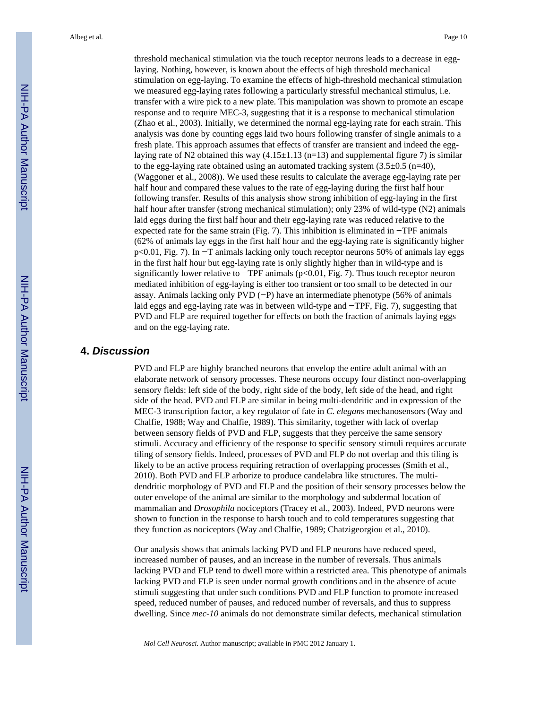threshold mechanical stimulation via the touch receptor neurons leads to a decrease in egglaying. Nothing, however, is known about the effects of high threshold mechanical stimulation on egg-laying. To examine the effects of high-threshold mechanical stimulation we measured egg-laying rates following a particularly stressful mechanical stimulus, i.e. transfer with a wire pick to a new plate. This manipulation was shown to promote an escape response and to require MEC-3, suggesting that it is a response to mechanical stimulation (Zhao et al., 2003). Initially, we determined the normal egg-laying rate for each strain. This analysis was done by counting eggs laid two hours following transfer of single animals to a fresh plate. This approach assumes that effects of transfer are transient and indeed the egglaying rate of N2 obtained this way  $(4.15\pm1.13 \text{ (n=13)}$  and supplemental figure 7) is similar to the egg-laying rate obtained using an automated tracking system  $(3.5\pm0.5 \text{ (n=40)})$ , (Waggoner et al., 2008)). We used these results to calculate the average egg-laying rate per half hour and compared these values to the rate of egg-laying during the first half hour following transfer. Results of this analysis show strong inhibition of egg-laying in the first half hour after transfer (strong mechanical stimulation); only 23% of wild-type (N2) animals laid eggs during the first half hour and their egg-laying rate was reduced relative to the expected rate for the same strain (Fig. 7). This inhibition is eliminated in −TPF animals (62% of animals lay eggs in the first half hour and the egg-laying rate is significantly higher p<0.01, Fig. 7). In −T animals lacking only touch receptor neurons 50% of animals lay eggs in the first half hour but egg-laying rate is only slightly higher than in wild-type and is significantly lower relative to  $-$ TPF animals (p<0.01, Fig. 7). Thus touch receptor neuron mediated inhibition of egg-laying is either too transient or too small to be detected in our assay. Animals lacking only PVD (−P) have an intermediate phenotype (56% of animals laid eggs and egg-laying rate was in between wild-type and −TPF, Fig. 7), suggesting that PVD and FLP are required together for effects on both the fraction of animals laying eggs and on the egg-laying rate.

## **4.** *Discussion*

PVD and FLP are highly branched neurons that envelop the entire adult animal with an elaborate network of sensory processes. These neurons occupy four distinct non-overlapping sensory fields: left side of the body, right side of the body, left side of the head, and right side of the head. PVD and FLP are similar in being multi-dendritic and in expression of the MEC-3 transcription factor, a key regulator of fate in *C. elegans* mechanosensors (Way and Chalfie, 1988; Way and Chalfie, 1989). This similarity, together with lack of overlap between sensory fields of PVD and FLP, suggests that they perceive the same sensory stimuli. Accuracy and efficiency of the response to specific sensory stimuli requires accurate tiling of sensory fields. Indeed, processes of PVD and FLP do not overlap and this tiling is likely to be an active process requiring retraction of overlapping processes (Smith et al., 2010). Both PVD and FLP arborize to produce candelabra like structures. The multidendritic morphology of PVD and FLP and the position of their sensory processes below the outer envelope of the animal are similar to the morphology and subdermal location of mammalian and *Drosophila* nociceptors (Tracey et al., 2003). Indeed, PVD neurons were shown to function in the response to harsh touch and to cold temperatures suggesting that they function as nociceptors (Way and Chalfie, 1989; Chatzigeorgiou et al., 2010).

Our analysis shows that animals lacking PVD and FLP neurons have reduced speed, increased number of pauses, and an increase in the number of reversals. Thus animals lacking PVD and FLP tend to dwell more within a restricted area. This phenotype of animals lacking PVD and FLP is seen under normal growth conditions and in the absence of acute stimuli suggesting that under such conditions PVD and FLP function to promote increased speed, reduced number of pauses, and reduced number of reversals, and thus to suppress dwelling. Since *mec-10* animals do not demonstrate similar defects, mechanical stimulation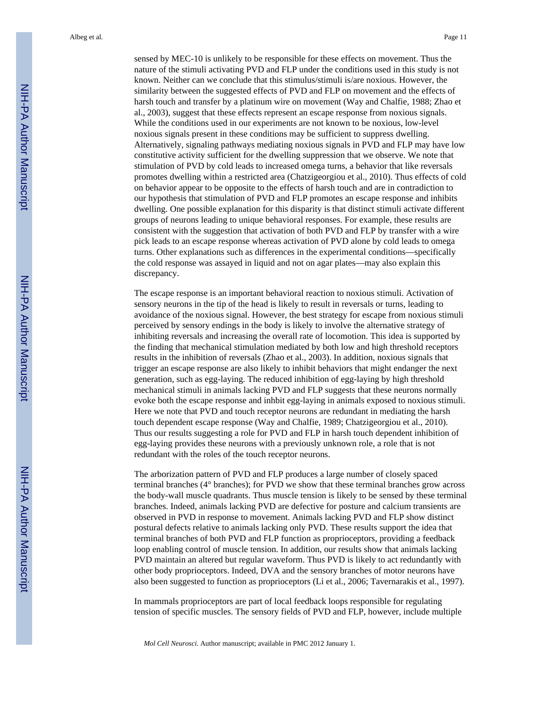sensed by MEC-10 is unlikely to be responsible for these effects on movement. Thus the nature of the stimuli activating PVD and FLP under the conditions used in this study is not known. Neither can we conclude that this stimulus/stimuli is/are noxious. However, the similarity between the suggested effects of PVD and FLP on movement and the effects of harsh touch and transfer by a platinum wire on movement (Way and Chalfie, 1988; Zhao et al., 2003), suggest that these effects represent an escape response from noxious signals. While the conditions used in our experiments are not known to be noxious, low-level noxious signals present in these conditions may be sufficient to suppress dwelling. Alternatively, signaling pathways mediating noxious signals in PVD and FLP may have low constitutive activity sufficient for the dwelling suppression that we observe. We note that stimulation of PVD by cold leads to increased omega turns, a behavior that like reversals promotes dwelling within a restricted area (Chatzigeorgiou et al., 2010). Thus effects of cold on behavior appear to be opposite to the effects of harsh touch and are in contradiction to our hypothesis that stimulation of PVD and FLP promotes an escape response and inhibits dwelling. One possible explanation for this disparity is that distinct stimuli activate different groups of neurons leading to unique behavioral responses. For example, these results are consistent with the suggestion that activation of both PVD and FLP by transfer with a wire pick leads to an escape response whereas activation of PVD alone by cold leads to omega turns. Other explanations such as differences in the experimental conditions—specifically the cold response was assayed in liquid and not on agar plates—may also explain this discrepancy.

The escape response is an important behavioral reaction to noxious stimuli. Activation of sensory neurons in the tip of the head is likely to result in reversals or turns, leading to avoidance of the noxious signal. However, the best strategy for escape from noxious stimuli perceived by sensory endings in the body is likely to involve the alternative strategy of inhibiting reversals and increasing the overall rate of locomotion. This idea is supported by the finding that mechanical stimulation mediated by both low and high threshold receptors results in the inhibition of reversals (Zhao et al., 2003). In addition, noxious signals that trigger an escape response are also likely to inhibit behaviors that might endanger the next generation, such as egg-laying. The reduced inhibition of egg-laying by high threshold mechanical stimuli in animals lacking PVD and FLP suggests that these neurons normally evoke both the escape response and inhbit egg-laying in animals exposed to noxious stimuli. Here we note that PVD and touch receptor neurons are redundant in mediating the harsh touch dependent escape response (Way and Chalfie, 1989; Chatzigeorgiou et al., 2010). Thus our results suggesting a role for PVD and FLP in harsh touch dependent inhibition of egg-laying provides these neurons with a previously unknown role, a role that is not redundant with the roles of the touch receptor neurons.

The arborization pattern of PVD and FLP produces a large number of closely spaced terminal branches (4° branches); for PVD we show that these terminal branches grow across the body-wall muscle quadrants. Thus muscle tension is likely to be sensed by these terminal branches. Indeed, animals lacking PVD are defective for posture and calcium transients are observed in PVD in response to movement. Animals lacking PVD and FLP show distinct postural defects relative to animals lacking only PVD. These results support the idea that terminal branches of both PVD and FLP function as proprioceptors, providing a feedback loop enabling control of muscle tension. In addition, our results show that animals lacking PVD maintain an altered but regular waveform. Thus PVD is likely to act redundantly with other body proprioceptors. Indeed, DVA and the sensory branches of motor neurons have also been suggested to function as proprioceptors (Li et al., 2006; Tavernarakis et al., 1997).

In mammals proprioceptors are part of local feedback loops responsible for regulating tension of specific muscles. The sensory fields of PVD and FLP, however, include multiple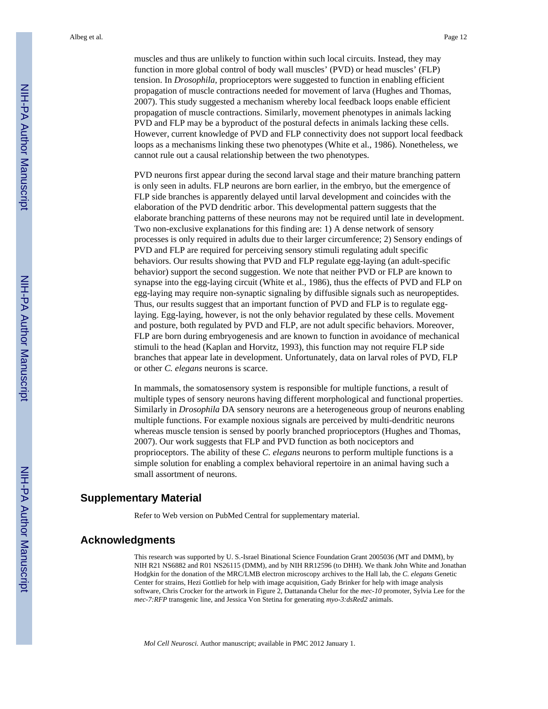muscles and thus are unlikely to function within such local circuits. Instead, they may function in more global control of body wall muscles' (PVD) or head muscles' (FLP) tension. In *Drosophila,* proprioceptors were suggested to function in enabling efficient propagation of muscle contractions needed for movement of larva (Hughes and Thomas, 2007). This study suggested a mechanism whereby local feedback loops enable efficient propagation of muscle contractions. Similarly, movement phenotypes in animals lacking PVD and FLP may be a byproduct of the postural defects in animals lacking these cells. However, current knowledge of PVD and FLP connectivity does not support local feedback loops as a mechanisms linking these two phenotypes (White et al., 1986). Nonetheless, we cannot rule out a causal relationship between the two phenotypes.

PVD neurons first appear during the second larval stage and their mature branching pattern is only seen in adults. FLP neurons are born earlier, in the embryo, but the emergence of FLP side branches is apparently delayed until larval development and coincides with the elaboration of the PVD dendritic arbor. This developmental pattern suggests that the elaborate branching patterns of these neurons may not be required until late in development. Two non-exclusive explanations for this finding are: 1) A dense network of sensory processes is only required in adults due to their larger circumference; 2) Sensory endings of PVD and FLP are required for perceiving sensory stimuli regulating adult specific behaviors. Our results showing that PVD and FLP regulate egg-laying (an adult-specific behavior) support the second suggestion. We note that neither PVD or FLP are known to synapse into the egg-laying circuit (White et al., 1986), thus the effects of PVD and FLP on egg-laying may require non-synaptic signaling by diffusible signals such as neuropeptides. Thus, our results suggest that an important function of PVD and FLP is to regulate egglaying. Egg-laying, however, is not the only behavior regulated by these cells. Movement and posture, both regulated by PVD and FLP, are not adult specific behaviors. Moreover, FLP are born during embryogenesis and are known to function in avoidance of mechanical stimuli to the head (Kaplan and Horvitz, 1993), this function may not require FLP side branches that appear late in development. Unfortunately, data on larval roles of PVD, FLP or other *C. elegans* neurons is scarce.

In mammals, the somatosensory system is responsible for multiple functions, a result of multiple types of sensory neurons having different morphological and functional properties. Similarly in *Drosophila* DA sensory neurons are a heterogeneous group of neurons enabling multiple functions. For example noxious signals are perceived by multi-dendritic neurons whereas muscle tension is sensed by poorly branched proprioceptors (Hughes and Thomas, 2007). Our work suggests that FLP and PVD function as both nociceptors and proprioceptors. The ability of these *C. elegans* neurons to perform multiple functions is a simple solution for enabling a complex behavioral repertoire in an animal having such a small assortment of neurons.

## **Supplementary Material**

Refer to Web version on PubMed Central for supplementary material.

#### **Acknowledgments**

This research was supported by U. S.-Israel Binational Science Foundation Grant 2005036 (MT and DMM), by NIH R21 NS6882 and R01 NS26115 (DMM), and by NIH RR12596 (to DHH). We thank John White and Jonathan Hodgkin for the donation of the MRC/LMB electron microscopy archives to the Hall lab, the *C. elegans* Genetic Center for strains, Hezi Gottlieb for help with image acquisition, Gady Brinker for help with image analysis software, Chris Crocker for the artwork in Figure 2, Dattananda Chelur for the *mec-10* promoter, Sylvia Lee for the *mec-7:RFP* transgenic line, and Jessica Von Stetina for generating *myo-3:dsRed2* animals.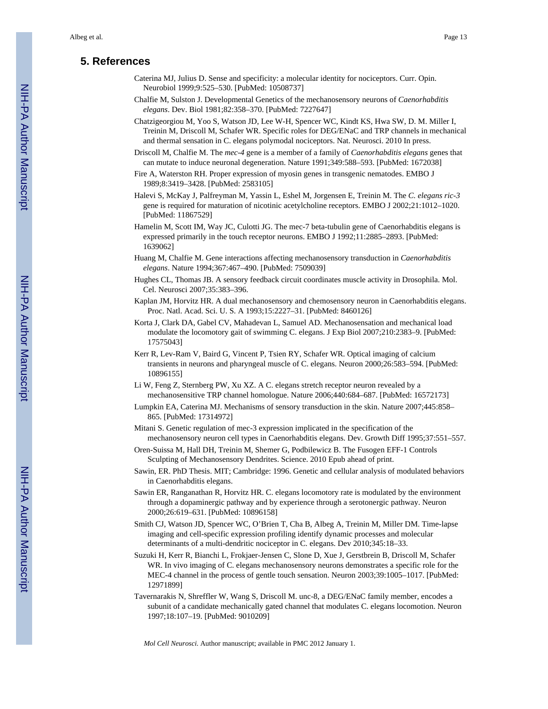## **5. References**

- Caterina MJ, Julius D. Sense and specificity: a molecular identity for nociceptors. Curr. Opin. Neurobiol 1999;9:525–530. [PubMed: 10508737]
- Chalfie M, Sulston J. Developmental Genetics of the mechanosensory neurons of *Caenorhabditis elegans*. Dev. Biol 1981;82:358–370. [PubMed: 7227647]
- Chatzigeorgiou M, Yoo S, Watson JD, Lee W-H, Spencer WC, Kindt KS, Hwa SW, D. M. Miller I, Treinin M, Driscoll M, Schafer WR. Specific roles for DEG/ENaC and TRP channels in mechanical and thermal sensation in C. elegans polymodal nociceptors. Nat. Neurosci. 2010 In press.
- Driscoll M, Chalfie M. The *mec-4* gene is a member of a family of *Caenorhabditis elegans* genes that can mutate to induce neuronal degeneration. Nature 1991;349:588–593. [PubMed: 1672038]
- Fire A, Waterston RH. Proper expression of myosin genes in transgenic nematodes. EMBO J 1989;8:3419–3428. [PubMed: 2583105]
- Halevi S, McKay J, Palfreyman M, Yassin L, Eshel M, Jorgensen E, Treinin M. The *C. elegans ric-3* gene is required for maturation of nicotinic acetylcholine receptors. EMBO J 2002;21:1012–1020. [PubMed: 11867529]
- Hamelin M, Scott IM, Way JC, Culotti JG. The mec-7 beta-tubulin gene of Caenorhabditis elegans is expressed primarily in the touch receptor neurons. EMBO J 1992;11:2885–2893. [PubMed: 1639062]
- Huang M, Chalfie M. Gene interactions affecting mechanosensory transduction in *Caenorhabditis elegans*. Nature 1994;367:467–490. [PubMed: 7509039]
- Hughes CL, Thomas JB. A sensory feedback circuit coordinates muscle activity in Drosophila. Mol. Cel. Neurosci 2007;35:383–396.
- Kaplan JM, Horvitz HR. A dual mechanosensory and chemosensory neuron in Caenorhabditis elegans. Proc. Natl. Acad. Sci. U. S. A 1993;15:2227–31. [PubMed: 8460126]
- Korta J, Clark DA, Gabel CV, Mahadevan L, Samuel AD. Mechanosensation and mechanical load modulate the locomotory gait of swimming C. elegans. J Exp Biol 2007;210:2383–9. [PubMed: 17575043]
- Kerr R, Lev-Ram V, Baird G, Vincent P, Tsien RY, Schafer WR. Optical imaging of calcium transients in neurons and pharyngeal muscle of C. elegans. Neuron 2000;26:583–594. [PubMed: 10896155]
- Li W, Feng Z, Sternberg PW, Xu XZ. A C. elegans stretch receptor neuron revealed by a mechanosensitive TRP channel homologue. Nature 2006;440:684–687. [PubMed: 16572173]
- Lumpkin EA, Caterina MJ. Mechanisms of sensory transduction in the skin. Nature 2007;445:858– 865. [PubMed: 17314972]
- Mitani S. Genetic regulation of mec-3 expression implicated in the specification of the mechanosensory neuron cell types in Caenorhabditis elegans. Dev. Growth Diff 1995;37:551–557.
- Oren-Suissa M, Hall DH, Treinin M, Shemer G, Podbilewicz B. The Fusogen EFF-1 Controls Sculpting of Mechanosensory Dendrites. Science. 2010 Epub ahead of print.
- Sawin, ER. PhD Thesis. MIT; Cambridge: 1996. Genetic and cellular analysis of modulated behaviors in Caenorhabditis elegans.
- Sawin ER, Ranganathan R, Horvitz HR. C. elegans locomotory rate is modulated by the environment through a dopaminergic pathway and by experience through a serotonergic pathway. Neuron 2000;26:619–631. [PubMed: 10896158]
- Smith CJ, Watson JD, Spencer WC, O'Brien T, Cha B, Albeg A, Treinin M, Miller DM. Time-lapse imaging and cell-specific expression profiling identify dynamic processes and molecular determinants of a multi-dendritic nociceptor in C. elegans. Dev 2010;345:18–33.
- Suzuki H, Kerr R, Bianchi L, Frokjaer-Jensen C, Slone D, Xue J, Gerstbrein B, Driscoll M, Schafer WR. In vivo imaging of C. elegans mechanosensory neurons demonstrates a specific role for the MEC-4 channel in the process of gentle touch sensation. Neuron 2003;39:1005–1017. [PubMed: 12971899]
- Tavernarakis N, Shreffler W, Wang S, Driscoll M. unc-8, a DEG/ENaC family member, encodes a subunit of a candidate mechanically gated channel that modulates C. elegans locomotion. Neuron 1997;18:107–19. [PubMed: 9010209]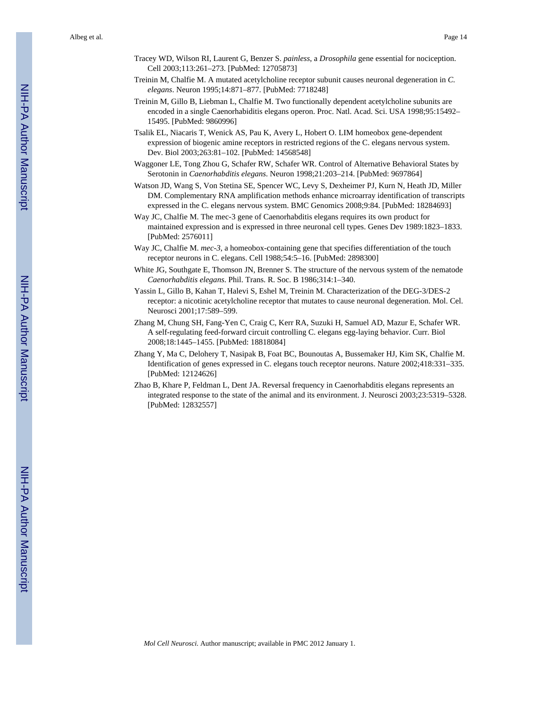- Tracey WD, Wilson RI, Laurent G, Benzer S. *painless*, a *Drosophila* gene essential for nociception. Cell 2003;113:261–273. [PubMed: 12705873]
- Treinin M, Chalfie M. A mutated acetylcholine receptor subunit causes neuronal degeneration in *C. elegans*. Neuron 1995;14:871–877. [PubMed: 7718248]
- Treinin M, Gillo B, Liebman L, Chalfie M. Two functionally dependent acetylcholine subunits are encoded in a single Caenorhabiditis elegans operon. Proc. Natl. Acad. Sci. USA 1998;95:15492– 15495. [PubMed: 9860996]
- Tsalik EL, Niacaris T, Wenick AS, Pau K, Avery L, Hobert O. LIM homeobox gene-dependent expression of biogenic amine receptors in restricted regions of the C. elegans nervous system. Dev. Biol 2003;263:81–102. [PubMed: 14568548]
- Waggoner LE, Tong Zhou G, Schafer RW, Schafer WR. Control of Alternative Behavioral States by Serotonin in *Caenorhabditis elegans*. Neuron 1998;21:203–214. [PubMed: 9697864]
- Watson JD, Wang S, Von Stetina SE, Spencer WC, Levy S, Dexheimer PJ, Kurn N, Heath JD, Miller DM. Complementary RNA amplification methods enhance microarray identification of transcripts expressed in the C. elegans nervous system. BMC Genomics 2008;9:84. [PubMed: 18284693]
- Way JC, Chalfie M. The mec-3 gene of Caenorhabditis elegans requires its own product for maintained expression and is expressed in three neuronal cell types. Genes Dev 1989:1823–1833. [PubMed: 2576011]
- Way JC, Chalfie M. *mec-3*, a homeobox-containing gene that specifies differentiation of the touch receptor neurons in C. elegans. Cell 1988;54:5–16. [PubMed: 2898300]
- White JG, Southgate E, Thomson JN, Brenner S. The structure of the nervous system of the nematode *Caenorhabditis elegans*. Phil. Trans. R. Soc. B 1986;314:1–340.
- Yassin L, Gillo B, Kahan T, Halevi S, Eshel M, Treinin M. Characterization of the DEG-3/DES-2 receptor: a nicotinic acetylcholine receptor that mutates to cause neuronal degeneration. Mol. Cel. Neurosci 2001;17:589–599.
- Zhang M, Chung SH, Fang-Yen C, Craig C, Kerr RA, Suzuki H, Samuel AD, Mazur E, Schafer WR. A self-regulating feed-forward circuit controlling C. elegans egg-laying behavior. Curr. Biol 2008;18:1445–1455. [PubMed: 18818084]
- Zhang Y, Ma C, Delohery T, Nasipak B, Foat BC, Bounoutas A, Bussemaker HJ, Kim SK, Chalfie M. Identification of genes expressed in C. elegans touch receptor neurons. Nature 2002;418:331–335. [PubMed: 12124626]
- Zhao B, Khare P, Feldman L, Dent JA. Reversal frequency in Caenorhabditis elegans represents an integrated response to the state of the animal and its environment. J. Neurosci 2003;23:5319–5328. [PubMed: 12832557]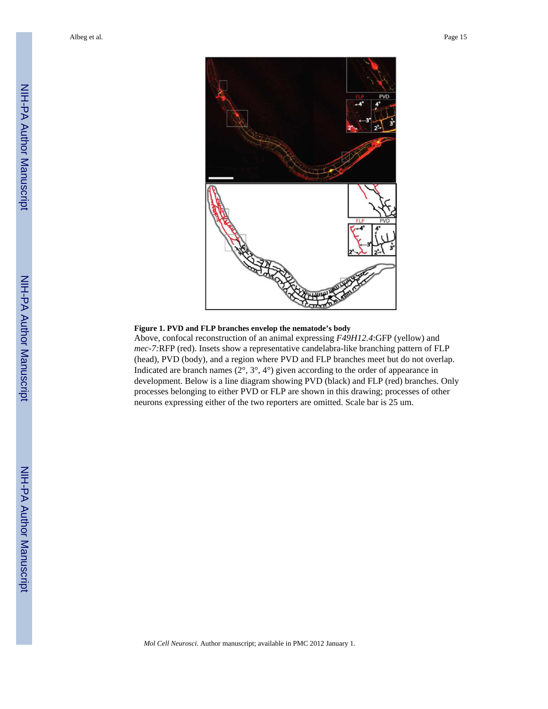

#### **Figure 1. PVD and FLP branches envelop the nematode's body**

Above, confocal reconstruction of an animal expressing *F49H12.4*:GFP (yellow) and *mec-7:*RFP (red). Insets show a representative candelabra-like branching pattern of FLP (head), PVD (body), and a region where PVD and FLP branches meet but do not overlap. Indicated are branch names (2°, 3°, 4°) given according to the order of appearance in development. Below is a line diagram showing PVD (black) and FLP (red) branches. Only processes belonging to either PVD or FLP are shown in this drawing; processes of other neurons expressing either of the two reporters are omitted. Scale bar is 25 um.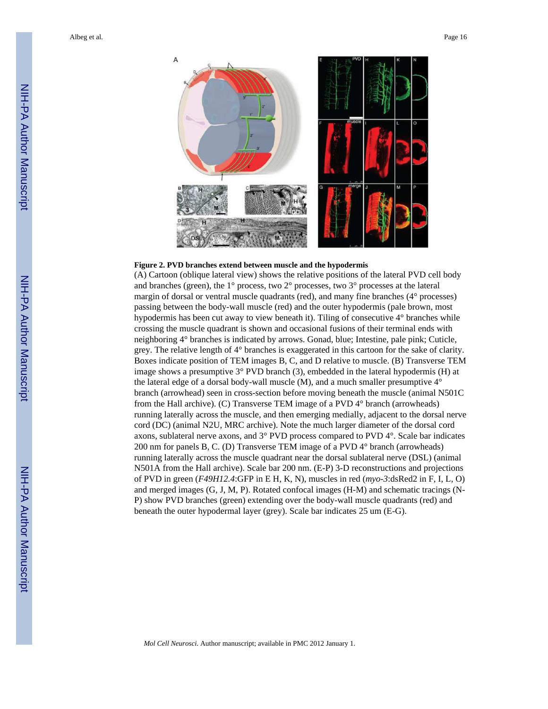

#### **Figure 2. PVD branches extend between muscle and the hypodermis**

(A) Cartoon (oblique lateral view) shows the relative positions of the lateral PVD cell body and branches (green), the 1° process, two 2° processes, two 3° processes at the lateral margin of dorsal or ventral muscle quadrants (red), and many fine branches (4° processes) passing between the body-wall muscle (red) and the outer hypodermis (pale brown, most hypodermis has been cut away to view beneath it). Tiling of consecutive 4° branches while crossing the muscle quadrant is shown and occasional fusions of their terminal ends with neighboring 4° branches is indicated by arrows. Gonad, blue; Intestine, pale pink; Cuticle, grey. The relative length of 4° branches is exaggerated in this cartoon for the sake of clarity. Boxes indicate position of TEM images B, C, and D relative to muscle. (B) Transverse TEM image shows a presumptive 3° PVD branch (3), embedded in the lateral hypodermis (H) at the lateral edge of a dorsal body-wall muscle  $(M)$ , and a much smaller presumptive  $4^{\circ}$ branch (arrowhead) seen in cross-section before moving beneath the muscle (animal N501C from the Hall archive). (C) Transverse TEM image of a PVD 4° branch (arrowheads) running laterally across the muscle, and then emerging medially, adjacent to the dorsal nerve cord (DC) (animal N2U, MRC archive). Note the much larger diameter of the dorsal cord axons, sublateral nerve axons, and 3° PVD process compared to PVD 4°. Scale bar indicates 200 nm for panels B, C. (D) Transverse TEM image of a PVD 4° branch (arrowheads) running laterally across the muscle quadrant near the dorsal sublateral nerve (DSL) (animal N501A from the Hall archive). Scale bar 200 nm. (E-P) 3-D reconstructions and projections of PVD in green (*F49H12.4*:GFP in E H, K, N), muscles in red (*myo-3*:dsRed2 in F, I, L, O) and merged images (G, J, M, P). Rotated confocal images (H-M) and schematic tracings (N-P) show PVD branches (green) extending over the body-wall muscle quadrants (red) and beneath the outer hypodermal layer (grey). Scale bar indicates 25 um (E-G).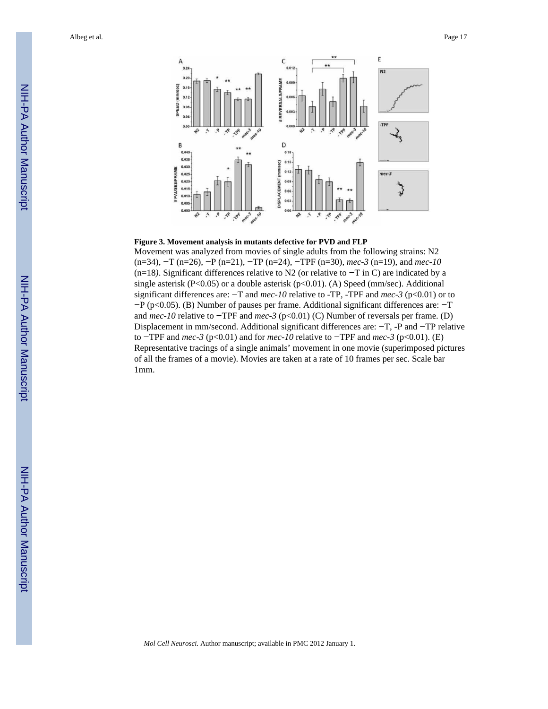

#### **Figure 3. Movement analysis in mutants defective for PVD and FLP**

Movement was analyzed from movies of single adults from the following strains: N2 (n=34), −T (n=26), −P (n=21), −TP (n=24), −TPF (n=30)*, mec-3* (n=19), and *mec-10* (n=18*)*. Significant differences relative to N2 (or relative to −T in C) are indicated by a single asterisk (P<0.05) or a double asterisk ( $p<0.01$ ). (A) Speed ( $mm/sec$ ). Additional significant differences are:  $-T$  and *mec-10* relative to -TP, -TPF and *mec-3* (p<0.01) or to −P (p<0.05). (B) Number of pauses per frame. Additional significant differences are: −T and *mec-10* relative to −TPF and *mec-3* (p<0.01) (C) Number of reversals per frame. (D) Displacement in mm/second. Additional significant differences are: −T, -P and −TP relative to −TPF and *mec-3* (p<0.01) and for *mec-10* relative to −TPF and *mec-3* (p<0.01). (E) Representative tracings of a single animals' movement in one movie (superimposed pictures of all the frames of a movie). Movies are taken at a rate of 10 frames per sec. Scale bar 1mm.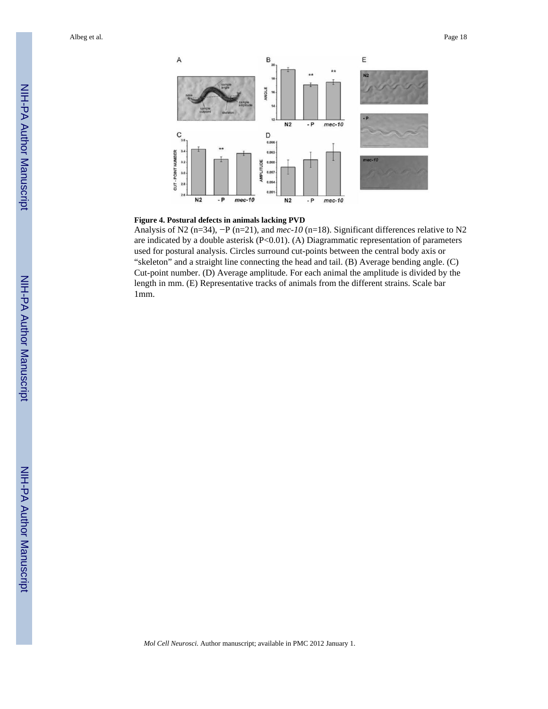

#### **Figure 4. Postural defects in animals lacking PVD**

Analysis of N2 (n=34), −P (n=21), and *mec-10* (n=18). Significant differences relative to N2 are indicated by a double asterisk (P<0.01). (A) Diagrammatic representation of parameters used for postural analysis. Circles surround cut-points between the central body axis or "skeleton" and a straight line connecting the head and tail. (B) Average bending angle. (C) Cut-point number. (D) Average amplitude. For each animal the amplitude is divided by the length in mm. (E) Representative tracks of animals from the different strains. Scale bar 1mm.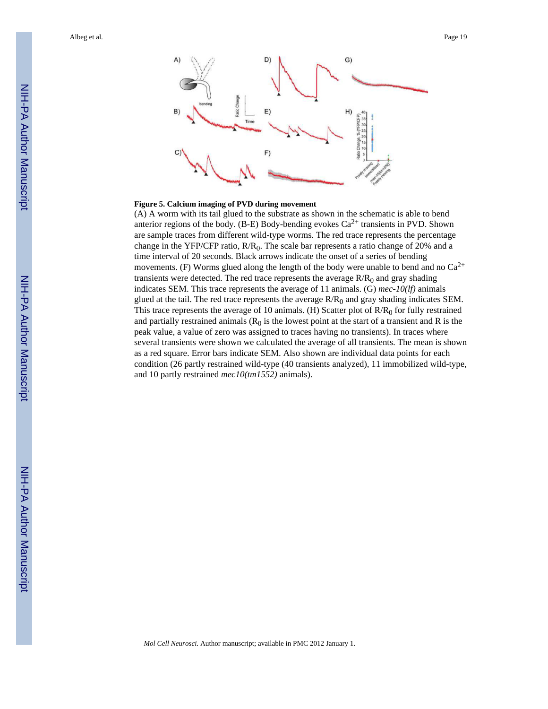

#### **Figure 5. Calcium imaging of PVD during movement**

(A) A worm with its tail glued to the substrate as shown in the schematic is able to bend anterior regions of the body. (B-E) Body-bending evokes  $Ca^{2+}$  transients in PVD. Shown are sample traces from different wild-type worms. The red trace represents the percentage change in the YFP/CFP ratio,  $R/R_0$ . The scale bar represents a ratio change of 20% and a time interval of 20 seconds. Black arrows indicate the onset of a series of bending movements. (F) Worms glued along the length of the body were unable to bend and no  $Ca^{2+}$ transients were detected. The red trace represents the average  $R/R_0$  and gray shading indicates SEM. This trace represents the average of 11 animals. (G) *mec-10(lf)* animals glued at the tail. The red trace represents the average  $R/R<sub>0</sub>$  and gray shading indicates SEM. This trace represents the average of 10 animals. (H) Scatter plot of  $R/R<sub>0</sub>$  for fully restrained and partially restrained animals  $(R_0)$  is the lowest point at the start of a transient and R is the peak value, a value of zero was assigned to traces having no transients). In traces where several transients were shown we calculated the average of all transients. The mean is shown as a red square. Error bars indicate SEM. Also shown are individual data points for each condition (26 partly restrained wild-type (40 transients analyzed), 11 immobilized wild-type, and 10 partly restrained *mec10(tm1552)* animals).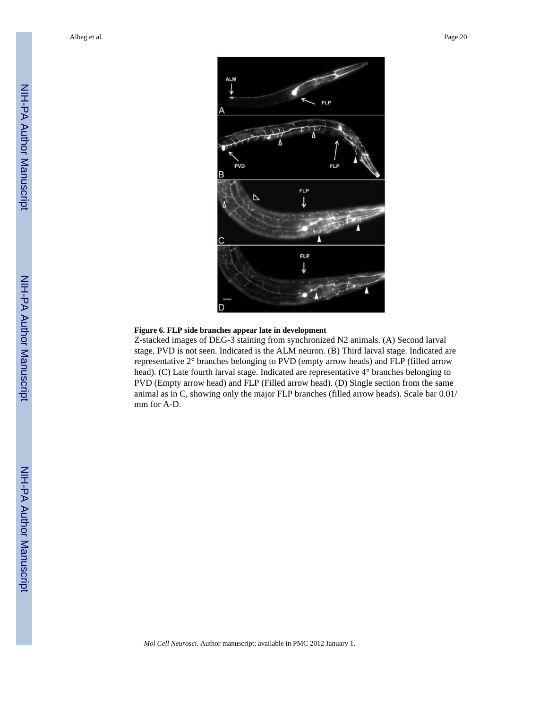

#### **Figure 6. FLP side branches appear late in development**

Z-stacked images of DEG-3 staining from synchronized N2 animals. (A) Second larval stage, PVD is not seen. Indicated is the ALM neuron. (B) Third larval stage. Indicated are representative 2° branches belonging to PVD (empty arrow heads) and FLP (filled arrow head). (C) Late fourth larval stage. Indicated are representative 4° branches belonging to PVD (Empty arrow head) and FLP (Filled arrow head). (D) Single section from the same animal as in C, showing only the major FLP branches (filled arrow heads). Scale bar 0.01/ mm for A-D.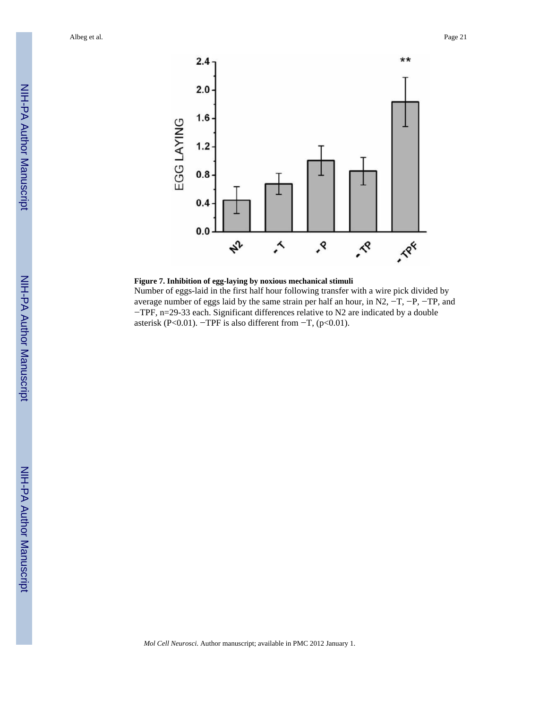

#### **Figure 7. Inhibition of egg-laying by noxious mechanical stimuli**

Number of eggs-laid in the first half hour following transfer with a wire pick divided by average number of eggs laid by the same strain per half an hour, in N2,  $-T$ ,  $-P$ ,  $-TP$ , and −TPF, n=29-33 each. Significant differences relative to N2 are indicated by a double asterisk (P<0.01). −TPF is also different from −T, (p<0.01).